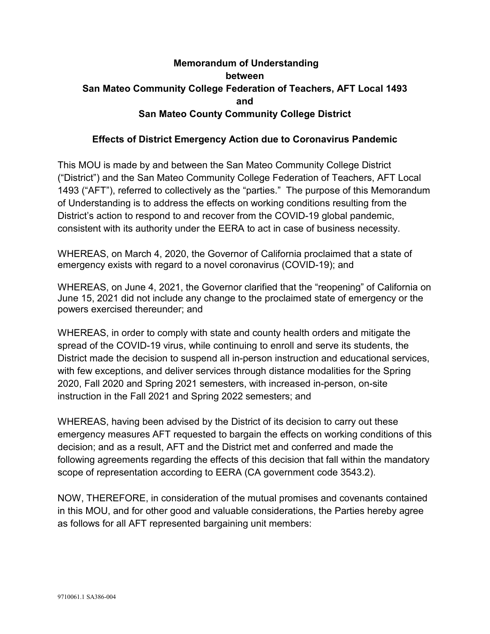# **Memorandum of Understanding between San Mateo Community College Federation of Teachers, AFT Local 1493 and San Mateo County Community College District**

#### **Effects of District Emergency Action due to Coronavirus Pandemic**

This MOU is made by and between the San Mateo Community College District ("District") and the San Mateo Community College Federation of Teachers, AFT Local 1493 ("AFT"), referred to collectively as the "parties." The purpose of this Memorandum of Understanding is to address the effects on working conditions resulting from the District's action to respond to and recover from the COVID-19 global pandemic, consistent with its authority under the EERA to act in case of business necessity.

WHEREAS, on March 4, 2020, the Governor of California proclaimed that a state of emergency exists with regard to a novel coronavirus (COVID-19); and

WHEREAS, on June 4, 2021, the Governor clarified that the "reopening" of California on June 15, 2021 did not include any change to the proclaimed state of emergency or the powers exercised thereunder; and

WHEREAS, in order to comply with state and county health orders and mitigate the spread of the COVID-19 virus, while continuing to enroll and serve its students, the District made the decision to suspend all in-person instruction and educational services, with few exceptions, and deliver services through distance modalities for the Spring 2020, Fall 2020 and Spring 2021 semesters, with increased in-person, on-site instruction in the Fall 2021 and Spring 2022 semesters; and

WHEREAS, having been advised by the District of its decision to carry out these emergency measures AFT requested to bargain the effects on working conditions of this decision; and as a result, AFT and the District met and conferred and made the following agreements regarding the effects of this decision that fall within the mandatory scope of representation according to EERA (CA government code 3543.2).

NOW, THEREFORE, in consideration of the mutual promises and covenants contained in this MOU, and for other good and valuable considerations, the Parties hereby agree as follows for all AFT represented bargaining unit members: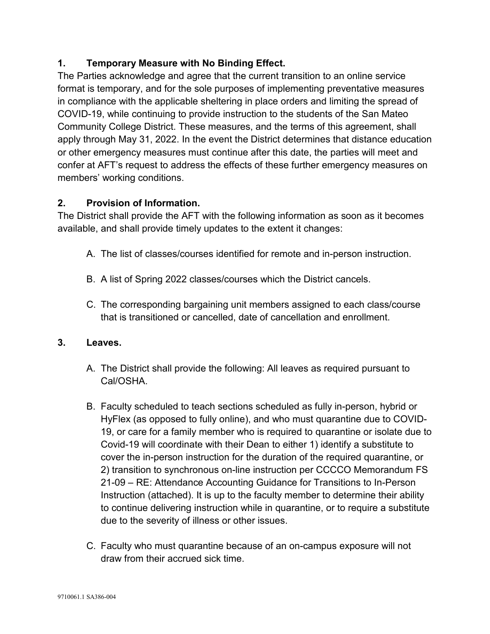## **1. Temporary Measure with No Binding Effect.**

The Parties acknowledge and agree that the current transition to an online service format is temporary, and for the sole purposes of implementing preventative measures in compliance with the applicable sheltering in place orders and limiting the spread of COVID-19, while continuing to provide instruction to the students of the San Mateo Community College District. These measures, and the terms of this agreement, shall apply through May 31, 2022. In the event the District determines that distance education or other emergency measures must continue after this date, the parties will meet and confer at AFT's request to address the effects of these further emergency measures on members' working conditions.

## **2. Provision of Information.**

The District shall provide the AFT with the following information as soon as it becomes available, and shall provide timely updates to the extent it changes:

- A. The list of classes/courses identified for remote and in-person instruction.
- B. A list of Spring 2022 classes/courses which the District cancels.
- C. The corresponding bargaining unit members assigned to each class/course that is transitioned or cancelled, date of cancellation and enrollment.

## **3. Leaves.**

- A. The District shall provide the following: All leaves as required pursuant to Cal/OSHA.
- B. Faculty scheduled to teach sections scheduled as fully in-person, hybrid or HyFlex (as opposed to fully online), and who must quarantine due to COVID-19, or care for a family member who is required to quarantine or isolate due to Covid-19 will coordinate with their Dean to either 1) identify a substitute to cover the in-person instruction for the duration of the required quarantine, or 2) transition to synchronous on-line instruction per CCCCO Memorandum FS 21-09 – RE: Attendance Accounting Guidance for Transitions to In-Person Instruction (attached). It is up to the faculty member to determine their ability to continue delivering instruction while in quarantine, or to require a substitute due to the severity of illness or other issues.
- C. Faculty who must quarantine because of an on-campus exposure will not draw from their accrued sick time.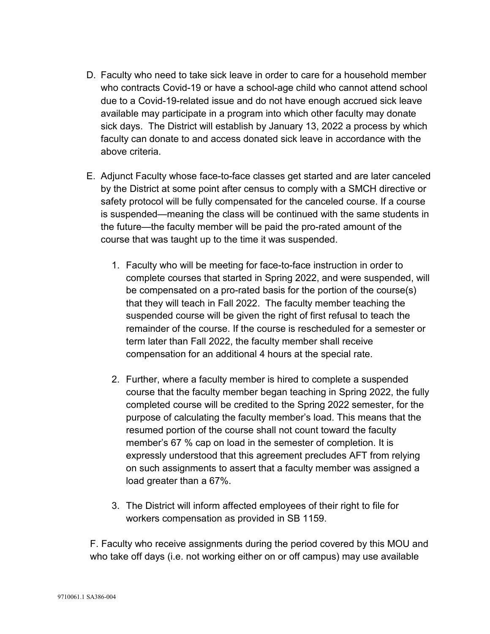- D. Faculty who need to take sick leave in order to care for a household member who contracts Covid-19 or have a school-age child who cannot attend school due to a Covid-19-related issue and do not have enough accrued sick leave available may participate in a program into which other faculty may donate sick days. The District will establish by January 13, 2022 a process by which faculty can donate to and access donated sick leave in accordance with the above criteria.
- E. Adjunct Faculty whose face-to-face classes get started and are later canceled by the District at some point after census to comply with a SMCH directive or safety protocol will be fully compensated for the canceled course. If a course is suspended—meaning the class will be continued with the same students in the future—the faculty member will be paid the pro-rated amount of the course that was taught up to the time it was suspended.
	- 1. Faculty who will be meeting for face-to-face instruction in order to complete courses that started in Spring 2022, and were suspended, will be compensated on a pro-rated basis for the portion of the course(s) that they will teach in Fall 2022. The faculty member teaching the suspended course will be given the right of first refusal to teach the remainder of the course. If the course is rescheduled for a semester or term later than Fall 2022, the faculty member shall receive compensation for an additional 4 hours at the special rate.
	- 2. Further, where a faculty member is hired to complete a suspended course that the faculty member began teaching in Spring 2022, the fully completed course will be credited to the Spring 2022 semester, for the purpose of calculating the faculty member's load. This means that the resumed portion of the course shall not count toward the faculty member's 67 % cap on load in the semester of completion. It is expressly understood that this agreement precludes AFT from relying on such assignments to assert that a faculty member was assigned a load greater than a 67%.
	- 3. The District will inform affected employees of their right to file for workers compensation as provided in SB 1159.

F. Faculty who receive assignments during the period covered by this MOU and who take off days (i.e. not working either on or off campus) may use available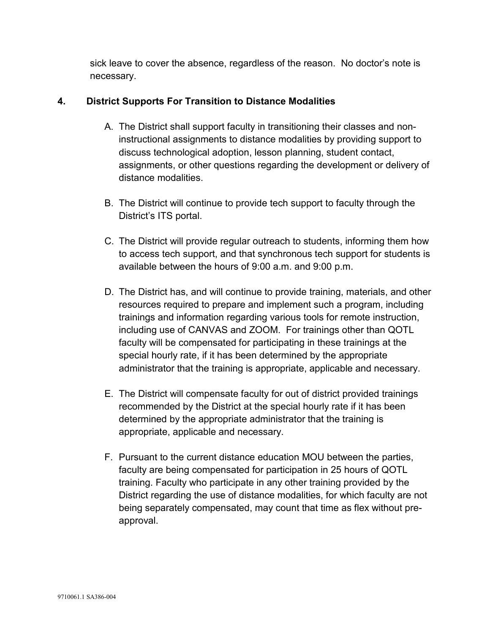sick leave to cover the absence, regardless of the reason. No doctor's note is necessary.

## **4. District Supports For Transition to Distance Modalities**

- A. The District shall support faculty in transitioning their classes and noninstructional assignments to distance modalities by providing support to discuss technological adoption, lesson planning, student contact, assignments, or other questions regarding the development or delivery of distance modalities.
- B. The District will continue to provide tech support to faculty through the District's ITS portal.
- C. The District will provide regular outreach to students, informing them how to access tech support, and that synchronous tech support for students is available between the hours of 9:00 a.m. and 9:00 p.m.
- D. The District has, and will continue to provide training, materials, and other resources required to prepare and implement such a program, including trainings and information regarding various tools for remote instruction, including use of CANVAS and ZOOM. For trainings other than QOTL faculty will be compensated for participating in these trainings at the special hourly rate, if it has been determined by the appropriate administrator that the training is appropriate, applicable and necessary.
- E. The District will compensate faculty for out of district provided trainings recommended by the District at the special hourly rate if it has been determined by the appropriate administrator that the training is appropriate, applicable and necessary.
- F. Pursuant to the current distance education MOU between the parties, faculty are being compensated for participation in 25 hours of QOTL training. Faculty who participate in any other training provided by the District regarding the use of distance modalities, for which faculty are not being separately compensated, may count that time as flex without preapproval.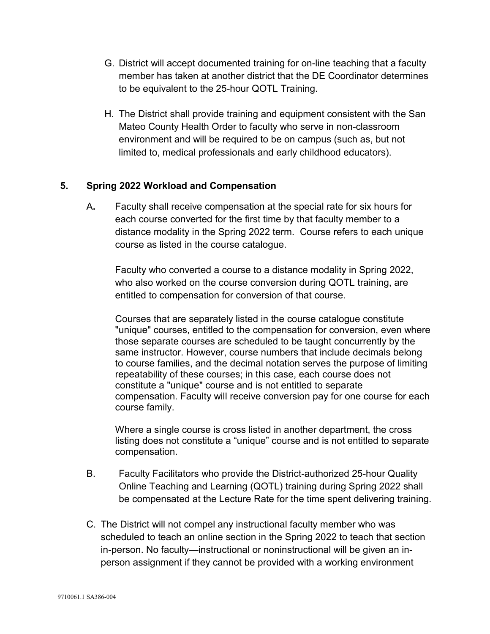- G. District will accept documented training for on-line teaching that a faculty member has taken at another district that the DE Coordinator determines to be equivalent to the 25-hour QOTL Training.
- H. The District shall provide training and equipment consistent with the San Mateo County Health Order to faculty who serve in non-classroom environment and will be required to be on campus (such as, but not limited to, medical professionals and early childhood educators).

#### **5. Spring 2022 Workload and Compensation**

A**.** Faculty shall receive compensation at the special rate for six hours for each course converted for the first time by that faculty member to a distance modality in the Spring 2022 term. Course refers to each unique course as listed in the course catalogue.

Faculty who converted a course to a distance modality in Spring 2022, who also worked on the course conversion during QOTL training, are entitled to compensation for conversion of that course.

Courses that are separately listed in the course catalogue constitute "unique" courses, entitled to the compensation for conversion, even where those separate courses are scheduled to be taught concurrently by the same instructor. However, course numbers that include decimals belong to course families, and the decimal notation serves the purpose of limiting repeatability of these courses; in this case, each course does not constitute a "unique" course and is not entitled to separate compensation. Faculty will receive conversion pay for one course for each course family.

Where a single course is cross listed in another department, the cross listing does not constitute a "unique" course and is not entitled to separate compensation.

- B. Faculty Facilitators who provide the District-authorized 25-hour Quality Online Teaching and Learning (QOTL) training during Spring 2022 shall be compensated at the Lecture Rate for the time spent delivering training.
- C. The District will not compel any instructional faculty member who was scheduled to teach an online section in the Spring 2022 to teach that section in-person. No faculty—instructional or noninstructional will be given an inperson assignment if they cannot be provided with a working environment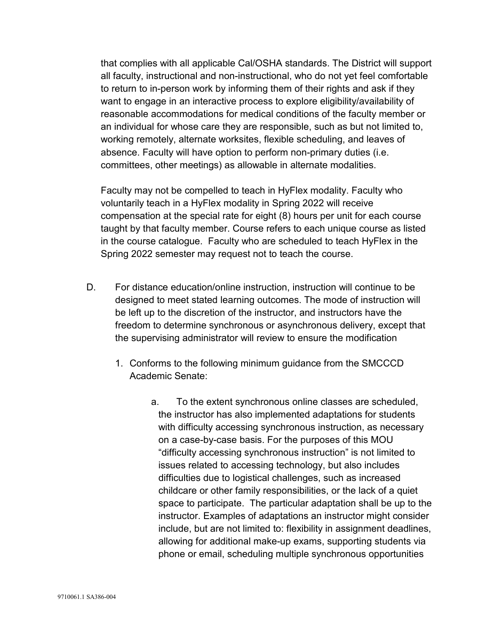that complies with all applicable Cal/OSHA standards. The District will support all faculty, instructional and non-instructional, who do not yet feel comfortable to return to in-person work by informing them of their rights and ask if they want to engage in an interactive process to explore eligibility/availability of reasonable accommodations for medical conditions of the faculty member or an individual for whose care they are responsible, such as but not limited to, working remotely, alternate worksites, flexible scheduling, and leaves of absence. Faculty will have option to perform non-primary duties (i.e. committees, other meetings) as allowable in alternate modalities.

Faculty may not be compelled to teach in HyFlex modality. Faculty who voluntarily teach in a HyFlex modality in Spring 2022 will receive compensation at the special rate for eight (8) hours per unit for each course taught by that faculty member. Course refers to each unique course as listed in the course catalogue. Faculty who are scheduled to teach HyFlex in the Spring 2022 semester may request not to teach the course.

- D. For distance education/online instruction, instruction will continue to be designed to meet stated learning outcomes. The mode of instruction will be left up to the discretion of the instructor, and instructors have the freedom to determine synchronous or asynchronous delivery, except that the supervising administrator will review to ensure the modification
	- 1. Conforms to the following minimum guidance from the SMCCCD Academic Senate:
		- a. To the extent synchronous online classes are scheduled, the instructor has also implemented adaptations for students with difficulty accessing synchronous instruction, as necessary on a case-by-case basis. For the purposes of this MOU "difficulty accessing synchronous instruction" is not limited to issues related to accessing technology, but also includes difficulties due to logistical challenges, such as increased childcare or other family responsibilities, or the lack of a quiet space to participate. The particular adaptation shall be up to the instructor. Examples of adaptations an instructor might consider include, but are not limited to: flexibility in assignment deadlines, allowing for additional make-up exams, supporting students via phone or email, scheduling multiple synchronous opportunities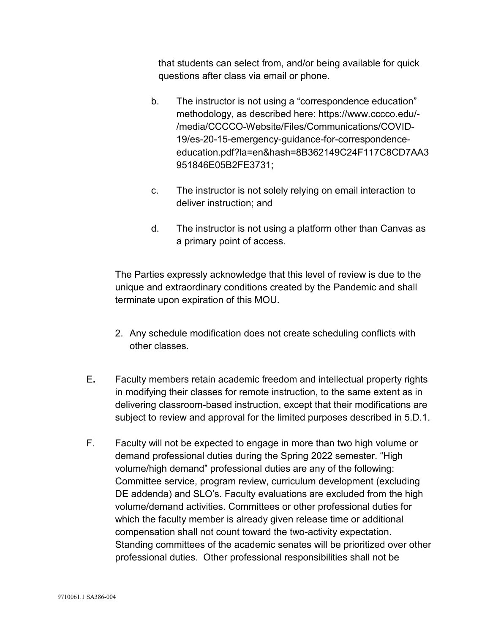that students can select from, and/or being available for quick questions after class via email or phone.

- b. The instructor is not using a "correspondence education" methodology, as described here: https://www.cccco.edu/- /media/CCCCO-Website/Files/Communications/COVID-19/es-20-15-emergency-guidance-for-correspondenceeducation.pdf?la=en&hash=8B362149C24F117C8CD7AA3 951846E05B2FE3731;
- c. The instructor is not solely relying on email interaction to deliver instruction; and
- d. The instructor is not using a platform other than Canvas as a primary point of access.

The Parties expressly acknowledge that this level of review is due to the unique and extraordinary conditions created by the Pandemic and shall terminate upon expiration of this MOU.

- 2. Any schedule modification does not create scheduling conflicts with other classes.
- E**.** Faculty members retain academic freedom and intellectual property rights in modifying their classes for remote instruction, to the same extent as in delivering classroom-based instruction, except that their modifications are subject to review and approval for the limited purposes described in 5.D.1.
- F. Faculty will not be expected to engage in more than two high volume or demand professional duties during the Spring 2022 semester. "High volume/high demand" professional duties are any of the following: Committee service, program review, curriculum development (excluding DE addenda) and SLO's. Faculty evaluations are excluded from the high volume/demand activities. Committees or other professional duties for which the faculty member is already given release time or additional compensation shall not count toward the two-activity expectation. Standing committees of the academic senates will be prioritized over other professional duties. Other professional responsibilities shall not be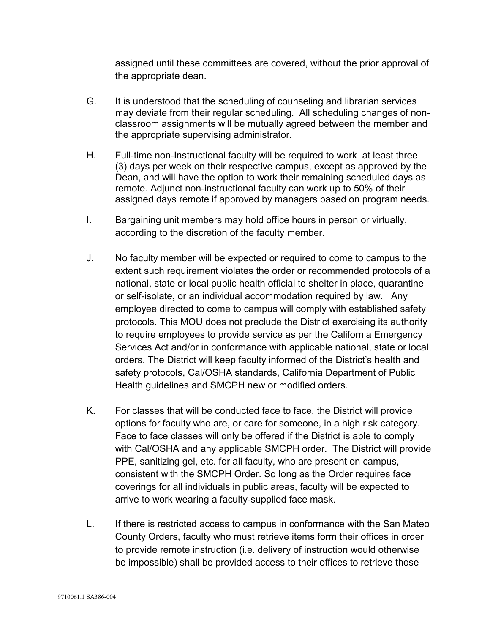assigned until these committees are covered, without the prior approval of the appropriate dean.

- G. It is understood that the scheduling of counseling and librarian services may deviate from their regular scheduling. All scheduling changes of nonclassroom assignments will be mutually agreed between the member and the appropriate supervising administrator.
- H. Full-time non-Instructional faculty will be required to work at least three (3) days per week on their respective campus, except as approved by the Dean, and will have the option to work their remaining scheduled days as remote. Adjunct non-instructional faculty can work up to 50% of their assigned days remote if approved by managers based on program needs.
- I. Bargaining unit members may hold office hours in person or virtually, according to the discretion of the faculty member.
- J. No faculty member will be expected or required to come to campus to the extent such requirement violates the order or recommended protocols of a national, state or local public health official to shelter in place, quarantine or self-isolate, or an individual accommodation required by law. Any employee directed to come to campus will comply with established safety protocols. This MOU does not preclude the District exercising its authority to require employees to provide service as per the California Emergency Services Act and/or in conformance with applicable national, state or local orders. The District will keep faculty informed of the District's health and safety protocols, Cal/OSHA standards, California Department of Public Health guidelines and SMCPH new or modified orders.
- K. For classes that will be conducted face to face, the District will provide options for faculty who are, or care for someone, in a high risk category. Face to face classes will only be offered if the District is able to comply with Cal/OSHA and any applicable SMCPH order. The District will provide PPE, sanitizing gel, etc. for all faculty, who are present on campus, consistent with the SMCPH Order. So long as the Order requires face coverings for all individuals in public areas, faculty will be expected to arrive to work wearing a faculty-supplied face mask.
- L. If there is restricted access to campus in conformance with the San Mateo County Orders, faculty who must retrieve items form their offices in order to provide remote instruction (i.e. delivery of instruction would otherwise be impossible) shall be provided access to their offices to retrieve those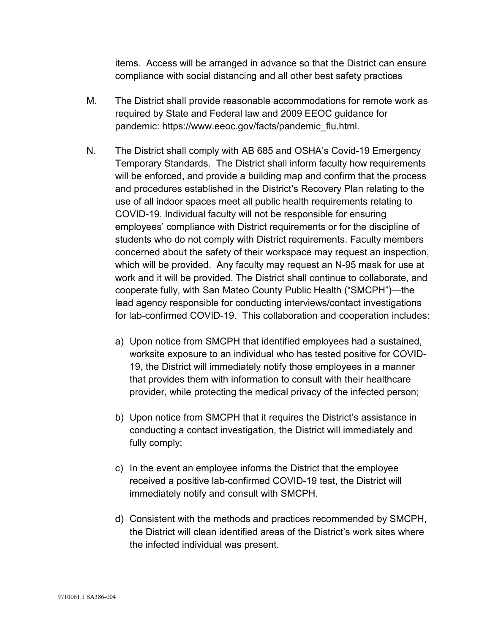items. Access will be arranged in advance so that the District can ensure compliance with social distancing and all other best safety practices

- M. The District shall provide reasonable accommodations for remote work as required by State and Federal law and 2009 EEOC guidance for pandemic: [https://www.eeoc.gov/facts/pandemic\\_flu.html.](https://www.eeoc.gov/facts/pandemic_flu.html)
- N. The District shall comply with AB 685 and OSHA's Covid-19 Emergency Temporary Standards. The District shall inform faculty how requirements will be enforced, and provide a building map and confirm that the process and procedures established in the District's Recovery Plan relating to the use of all indoor spaces meet all public health requirements relating to COVID-19. Individual faculty will not be responsible for ensuring employees' compliance with District requirements or for the discipline of students who do not comply with District requirements. Faculty members concerned about the safety of their workspace may request an inspection, which will be provided. Any faculty may request an N-95 mask for use at work and it will be provided. The District shall continue to collaborate, and cooperate fully, with San Mateo County Public Health ("SMCPH")—the lead agency responsible for conducting interviews/contact investigations for lab-confirmed COVID-19. This collaboration and cooperation includes:
	- a) Upon notice from SMCPH that identified employees had a sustained, worksite exposure to an individual who has tested positive for COVID-19, the District will immediately notify those employees in a manner that provides them with information to consult with their healthcare provider, while protecting the medical privacy of the infected person;
	- b) Upon notice from SMCPH that it requires the District's assistance in conducting a contact investigation, the District will immediately and fully comply;
	- c) In the event an employee informs the District that the employee received a positive lab-confirmed COVID-19 test, the District will immediately notify and consult with SMCPH.
	- d) Consistent with the methods and practices recommended by SMCPH, the District will clean identified areas of the District's work sites where the infected individual was present.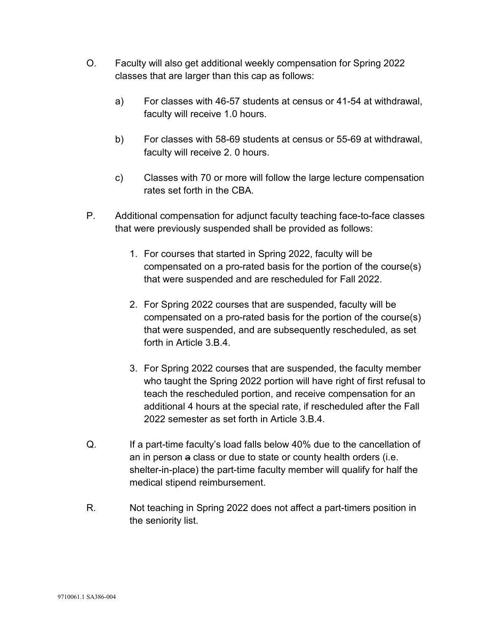- O. Faculty will also get additional weekly compensation for Spring 2022 classes that are larger than this cap as follows:
	- a) For classes with 46-57 students at census or 41-54 at withdrawal, faculty will receive 1.0 hours.
	- b) For classes with 58-69 students at census or 55-69 at withdrawal, faculty will receive 2. 0 hours.
	- c) Classes with 70 or more will follow the large lecture compensation rates set forth in the CBA.
- P. Additional compensation for adjunct faculty teaching face-to-face classes that were previously suspended shall be provided as follows:
	- 1. For courses that started in Spring 2022, faculty will be compensated on a pro-rated basis for the portion of the course(s) that were suspended and are rescheduled for Fall 2022.
	- 2. For Spring 2022 courses that are suspended, faculty will be compensated on a pro-rated basis for the portion of the course(s) that were suspended, and are subsequently rescheduled, as set forth in Article 3.B.4.
	- 3. For Spring 2022 courses that are suspended, the faculty member who taught the Spring 2022 portion will have right of first refusal to teach the rescheduled portion, and receive compensation for an additional 4 hours at the special rate, if rescheduled after the Fall 2022 semester as set forth in Article 3.B.4.
- Q. If a part-time faculty's load falls below 40% due to the cancellation of an in person a class or due to state or county health orders (i.e. shelter-in-place) the part-time faculty member will qualify for half the medical stipend reimbursement.
- R. Not teaching in Spring 2022 does not affect a part-timers position in the seniority list.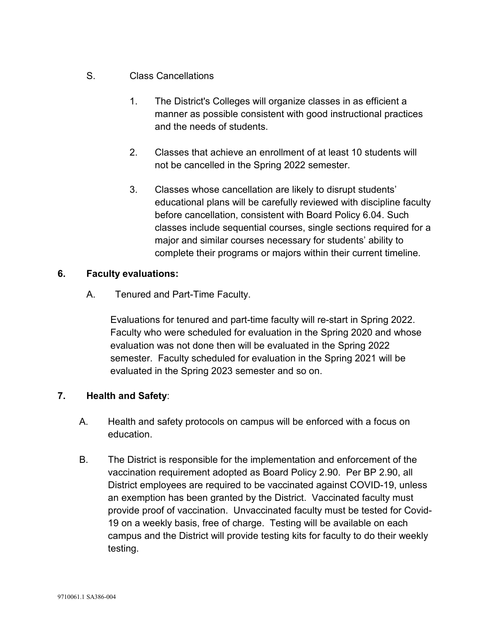- S. Class Cancellations
	- 1. The District's Colleges will organize classes in as efficient a manner as possible consistent with good instructional practices and the needs of students.
	- 2. Classes that achieve an enrollment of at least 10 students will not be cancelled in the Spring 2022 semester.
	- 3. Classes whose cancellation are likely to disrupt students' educational plans will be carefully reviewed with discipline faculty before cancellation, consistent with Board Policy 6.04. Such classes include sequential courses, single sections required for a major and similar courses necessary for students' ability to complete their programs or majors within their current timeline.

#### **6. Faculty evaluations:**

A. Tenured and Part-Time Faculty.

Evaluations for tenured and part-time faculty will re-start in Spring 2022. Faculty who were scheduled for evaluation in the Spring 2020 and whose evaluation was not done then will be evaluated in the Spring 2022 semester. Faculty scheduled for evaluation in the Spring 2021 will be evaluated in the Spring 2023 semester and so on.

## **7. Health and Safety**:

- A. Health and safety protocols on campus will be enforced with a focus on education.
- B. The District is responsible for the implementation and enforcement of the vaccination requirement adopted as Board Policy 2.90. Per BP 2.90, all District employees are required to be vaccinated against COVID-19, unless an exemption has been granted by the District. Vaccinated faculty must provide proof of vaccination. Unvaccinated faculty must be tested for Covid-19 on a weekly basis, free of charge. Testing will be available on each campus and the District will provide testing kits for faculty to do their weekly testing.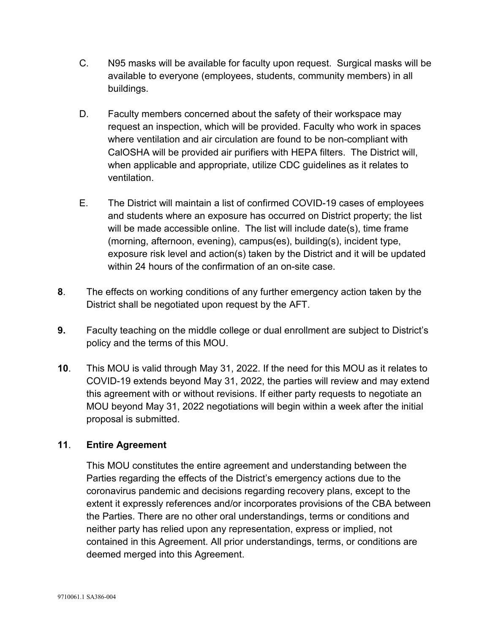- C. N95 masks will be available for faculty upon request. Surgical masks will be available to everyone (employees, students, community members) in all buildings.
- D. Faculty members concerned about the safety of their workspace may request an inspection, which will be provided. Faculty who work in spaces where ventilation and air circulation are found to be non-compliant with CalOSHA will be provided air purifiers with HEPA filters. The District will, when applicable and appropriate, utilize CDC guidelines as it relates to ventilation.
- E. The District will maintain a list of confirmed COVID-19 cases of employees and students where an exposure has occurred on District property; the list will be made accessible online. The list will include date(s), time frame (morning, afternoon, evening), campus(es), building(s), incident type, exposure risk level and action(s) taken by the District and it will be updated within 24 hours of the confirmation of an on-site case.
- **8**. The effects on working conditions of any further emergency action taken by the District shall be negotiated upon request by the AFT.
- **9.** Faculty teaching on the middle college or dual enrollment are subject to District's policy and the terms of this MOU.
- **10**. This MOU is valid through May 31, 2022. If the need for this MOU as it relates to COVID-19 extends beyond May 31, 2022, the parties will review and may extend this agreement with or without revisions. If either party requests to negotiate an MOU beyond May 31, 2022 negotiations will begin within a week after the initial proposal is submitted.

#### **11**. **Entire Agreement**

This MOU constitutes the entire agreement and understanding between the Parties regarding the effects of the District's emergency actions due to the coronavirus pandemic and decisions regarding recovery plans, except to the extent it expressly references and/or incorporates provisions of the CBA between the Parties. There are no other oral understandings, terms or conditions and neither party has relied upon any representation, express or implied, not contained in this Agreement. All prior understandings, terms, or conditions are deemed merged into this Agreement.